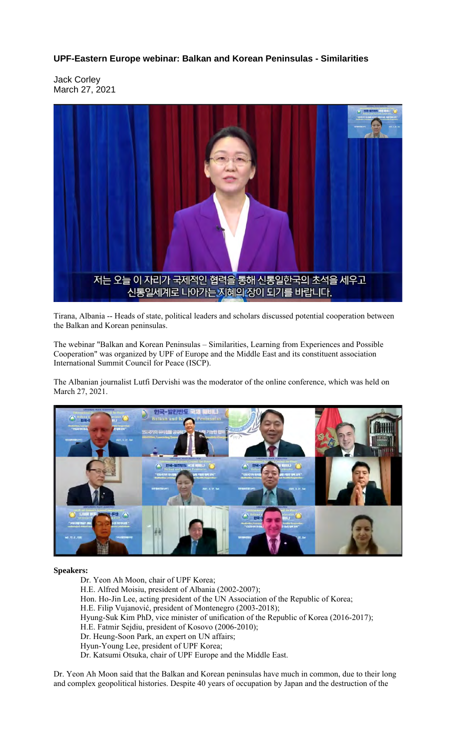## **UPF-Eastern Europe webinar: Balkan and Korean Peninsulas - Similarities**

Jack Corley March 27, 2021



Tirana, Albania -- Heads of state, political leaders and scholars discussed potential cooperation between the Balkan and Korean peninsulas.

The webinar "Balkan and Korean Peninsulas – Similarities, Learning from Experiences and Possible Cooperation" was organized by UPF of Europe and the Middle East and its constituent association International Summit Council for Peace (ISCP).

The Albanian journalist Lutfi Dervishi was the moderator of the online conference, which was held on March 27, 2021.



## **Speakers:**

Dr. Yeon Ah Moon, chair of UPF Korea; H.E. Alfred Moisiu, president of Albania (2002-2007); Hon. Ho-Jin Lee, acting president of the UN Association of the Republic of Korea; H.E. Filip Vujanović, president of Montenegro (2003-2018); Hyung-Suk Kim PhD, vice minister of unification of the Republic of Korea (2016-2017); H.E. Fatmir Sejdiu, president of Kosovo (2006-2010); Dr. Heung-Soon Park, an expert on UN affairs; Hyun-Young Lee, president of UPF Korea; Dr. Katsumi Otsuka, chair of UPF Europe and the Middle East.

Dr. Yeon Ah Moon said that the Balkan and Korean peninsulas have much in common, due to their long and complex geopolitical histories. Despite 40 years of occupation by Japan and the destruction of the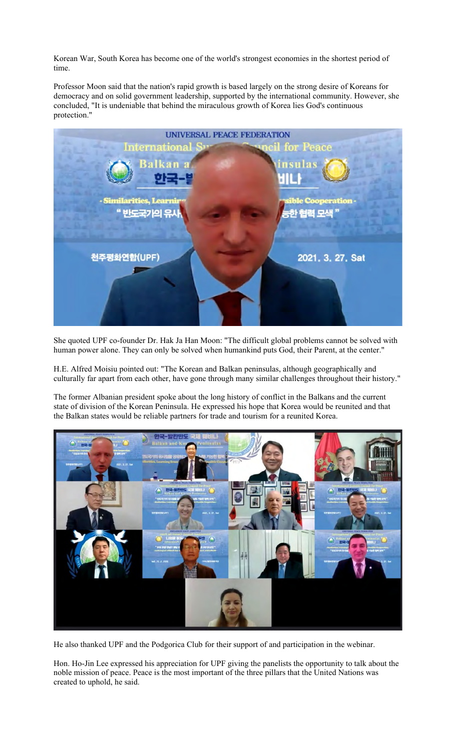Korean War, South Korea has become one of the world's strongest economies in the shortest period of time.

Professor Moon said that the nation's rapid growth is based largely on the strong desire of Koreans for democracy and on solid government leadership, supported by the international community. However, she concluded, "It is undeniable that behind the miraculous growth of Korea lies God's continuous protection."



She quoted UPF co-founder Dr. Hak Ja Han Moon: "The difficult global problems cannot be solved with human power alone. They can only be solved when humankind puts God, their Parent, at the center."

H.E. Alfred Moisiu pointed out: "The Korean and Balkan peninsulas, although geographically and culturally far apart from each other, have gone through many similar challenges throughout their history."

The former Albanian president spoke about the long history of conflict in the Balkans and the current state of division of the Korean Peninsula. He expressed his hope that Korea would be reunited and that the Balkan states would be reliable partners for trade and tourism for a reunited Korea.



He also thanked UPF and the Podgorica Club for their support of and participation in the webinar.

Hon. Ho-Jin Lee expressed his appreciation for UPF giving the panelists the opportunity to talk about the noble mission of peace. Peace is the most important of the three pillars that the United Nations was created to uphold, he said.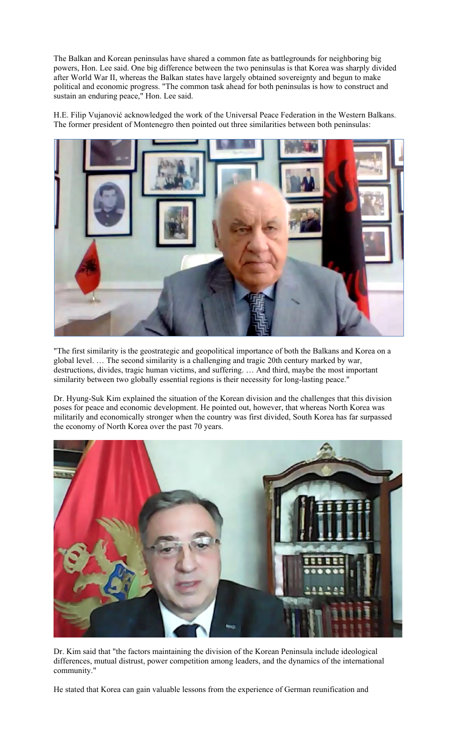The Balkan and Korean peninsulas have shared a common fate as battlegrounds for neighboring big powers, Hon. Lee said. One big difference between the two peninsulas is that Korea was sharply divided after World War II, whereas the Balkan states have largely obtained sovereignty and begun to make political and economic progress. "The common task ahead for both peninsulas is how to construct and sustain an enduring peace," Hon. Lee said.

H.E. Filip Vujanović acknowledged the work of the Universal Peace Federation in the Western Balkans. The former president of Montenegro then pointed out three similarities between both peninsulas:



"The first similarity is the geostrategic and geopolitical importance of both the Balkans and Korea on a global level. … The second similarity is a challenging and tragic 20th century marked by war, destructions, divides, tragic human victims, and suffering. … And third, maybe the most important similarity between two globally essential regions is their necessity for long-lasting peace."

Dr. Hyung-Suk Kim explained the situation of the Korean division and the challenges that this division poses for peace and economic development. He pointed out, however, that whereas North Korea was militarily and economically stronger when the country was first divided, South Korea has far surpassed the economy of North Korea over the past 70 years.



Dr. Kim said that "the factors maintaining the division of the Korean Peninsula include ideological differences, mutual distrust, power competition among leaders, and the dynamics of the international community."

He stated that Korea can gain valuable lessons from the experience of German reunification and